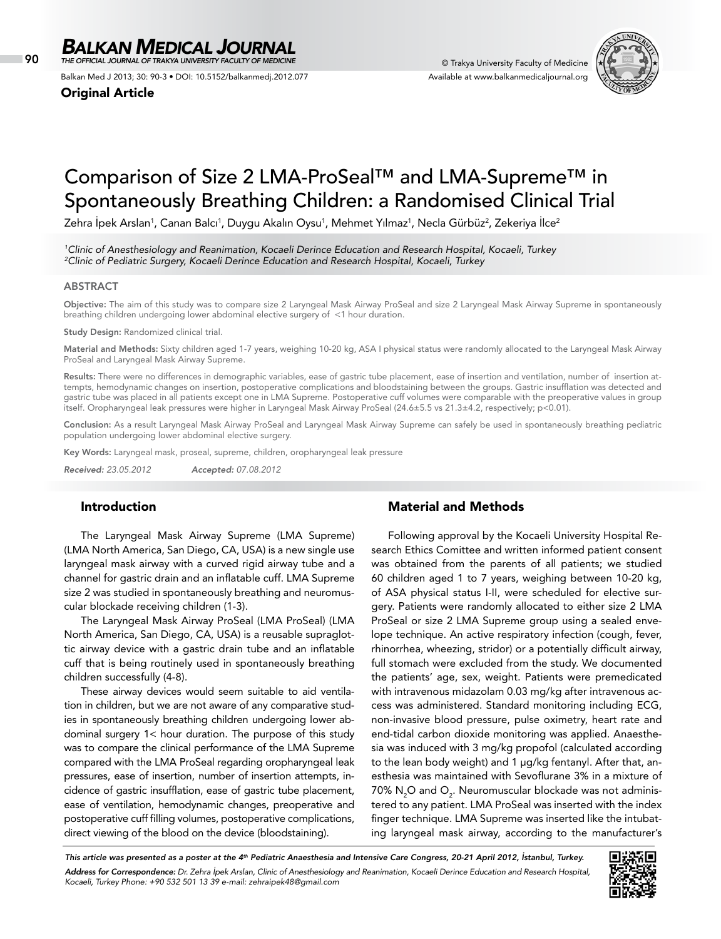90 © Trakya University Faculty of Medicine *THE OFFICIAL JOURNAL OF TRAKYA UNIVERSITY FACULTY OF MEDICINE*

Balkan Med J 2013; 30: 90-3 • DOI: 10.5152/balkanmedj.2012.077

Original Article



# Comparison of Size 2 LMA-ProSeal™ and LMA-Supreme™ in Spontaneously Breathing Children: a Randomised Clinical Trial

Zehra Ipek Arslan<sup>1</sup>, Canan Balcı<sup>1</sup>, Duygu Akalın Oysu<sup>1</sup>, Mehmet Yılmaz<sup>1</sup>, Necla Gürbüz<sup>2</sup>, Zekeriya Ilce<sup>2</sup>

*1 Clinic of Anesthesiology and Reanimation, Kocaeli Derince Education and Research Hospital, Kocaeli, Turkey 2 Clinic of Pediatric Surgery, Kocaeli Derince Education and Research Hospital, Kocaeli, Turkey*

# **ABSTRACT**

Objective: The aim of this study was to compare size 2 Laryngeal Mask Airway ProSeal and size 2 Laryngeal Mask Airway Supreme in spontaneously breathing children undergoing lower abdominal elective surgery of <1 hour duration.

Study Design: Randomized clinical trial.

Material and Methods: Sixty children aged 1-7 years, weighing 10-20 kg, ASA I physical status were randomly allocated to the Laryngeal Mask Airway ProSeal and Laryngeal Mask Airway Supreme.

Results: There were no differences in demographic variables, ease of gastric tube placement, ease of insertion and ventilation, number of insertion attempts, hemodynamic changes on insertion, postoperative complications and bloodstaining between the groups. Gastric insufflation was detected and gastric tube was placed in all patients except one in LMA Supreme. Postoperative cuff volumes were comparable with the preoperative values in group itself. Oropharyngeal leak pressures were higher in Laryngeal Mask Airway ProSeal (24.6±5.5 vs 21.3±4.2, respectively; p<0.01).

Conclusion: As a result Laryngeal Mask Airway ProSeal and Laryngeal Mask Airway Supreme can safely be used in spontaneously breathing pediatric population undergoing lower abdominal elective surgery.

Key Words: Laryngeal mask, proseal, supreme, children, oropharyngeal leak pressure

*Received: 23.05.2012 Accepted: 07.08.2012*

# Introduction

The Laryngeal Mask Airway Supreme (LMA Supreme) (LMA North America, San Diego, CA, USA) is a new single use laryngeal mask airway with a curved rigid airway tube and a channel for gastric drain and an inflatable cuff. LMA Supreme size 2 was studied in spontaneously breathing and neuromuscular blockade receiving children (1-3).

The Laryngeal Mask Airway ProSeal (LMA ProSeal) (LMA North America, San Diego, CA, USA) is a reusable supraglottic airway device with a gastric drain tube and an inflatable cuff that is being routinely used in spontaneously breathing children successfully (4-8).

These airway devices would seem suitable to aid ventilation in children, but we are not aware of any comparative studies in spontaneously breathing children undergoing lower abdominal surgery 1< hour duration. The purpose of this study was to compare the clinical performance of the LMA Supreme compared with the LMA ProSeal regarding oropharyngeal leak pressures, ease of insertion, number of insertion attempts, incidence of gastric insufflation, ease of gastric tube placement, ease of ventilation, hemodynamic changes, preoperative and postoperative cuff filling volumes, postoperative complications, direct viewing of the blood on the device (bloodstaining).

# Material and Methods

Following approval by the Kocaeli University Hospital Research Ethics Comittee and written informed patient consent was obtained from the parents of all patients; we studied 60 children aged 1 to 7 years, weighing between 10-20 kg, of ASA physical status I-II, were scheduled for elective surgery. Patients were randomly allocated to either size 2 LMA ProSeal or size 2 LMA Supreme group using a sealed envelope technique. An active respiratory infection (cough, fever, rhinorrhea, wheezing, stridor) or a potentially difficult airway, full stomach were excluded from the study. We documented the patients' age, sex, weight. Patients were premedicated with intravenous midazolam 0.03 mg/kg after intravenous access was administered. Standard monitoring including ECG, non-invasive blood pressure, pulse oximetry, heart rate and end-tidal carbon dioxide monitoring was applied. Anaesthesia was induced with 3 mg/kg propofol (calculated according to the lean body weight) and 1 µg/kg fentanyl. After that, anesthesia was maintained with Sevoflurane 3% in a mixture of 70%  $\rm N_{2}O$  and  $\rm O_{2}$ . Neuromuscular blockade was not administered to any patient. LMA ProSeal was inserted with the index finger technique. LMA Supreme was inserted like the intubating laryngeal mask airway, according to the manufacturer's

*This article was presented as a poster at the 4th Pediatric Anaesthesia and Intensive Care Congress, 20-21 April 2012, İstanbul, Turkey. Address for Correspondence: Dr. Zehra İpek Arslan, Clinic of Anesthesiology and Reanimation, Kocaeli Derince Education and Research Hospital, Kocaeli, Turkey Phone: +90 532 501 13 39 e-mail: zehraipek48@gmail.com*

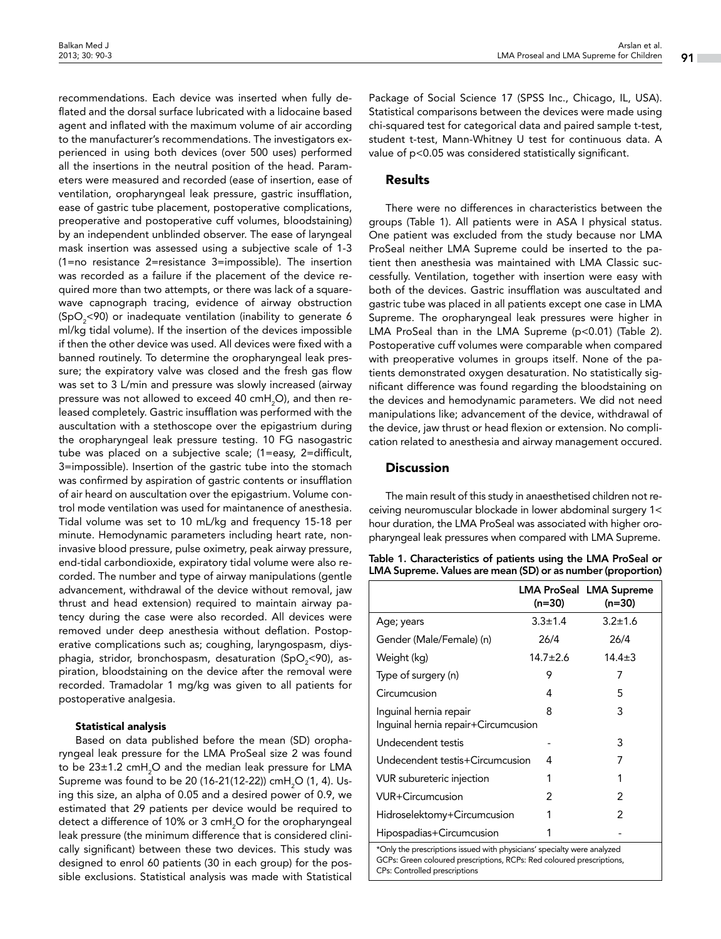recommendations. Each device was inserted when fully deflated and the dorsal surface lubricated with a lidocaine based agent and inflated with the maximum volume of air according to the manufacturer's recommendations. The investigators experienced in using both devices (over 500 uses) performed all the insertions in the neutral position of the head. Parameters were measured and recorded (ease of insertion, ease of ventilation, oropharyngeal leak pressure, gastric insufflation, ease of gastric tube placement, postoperative complications, preoperative and postoperative cuff volumes, bloodstaining) by an independent unblinded observer. The ease of laryngeal mask insertion was assessed using a subjective scale of 1-3 (1=no resistance 2=resistance 3=impossible). The insertion was recorded as a failure if the placement of the device required more than two attempts, or there was lack of a squarewave capnograph tracing, evidence of airway obstruction (SpO $_2^{\vphantom{1}}$ <90) or inadequate ventilation (inability to generate 6 ml/kg tidal volume). If the insertion of the devices impossible if then the other device was used. All devices were fixed with a banned routinely. To determine the oropharyngeal leak pressure; the expiratory valve was closed and the fresh gas flow was set to 3 L/min and pressure was slowly increased (airway pressure was not allowed to exceed 40 cmH $_{\rm 2}$ O), and then released completely. Gastric insufflation was performed with the auscultation with a stethoscope over the epigastrium during the oropharyngeal leak pressure testing. 10 FG nasogastric tube was placed on a subjective scale; (1=easy, 2=difficult, 3=impossible). Insertion of the gastric tube into the stomach was confirmed by aspiration of gastric contents or insufflation of air heard on auscultation over the epigastrium. Volume control mode ventilation was used for maintanence of anesthesia. Tidal volume was set to 10 mL/kg and frequency 15-18 per minute. Hemodynamic parameters including heart rate, noninvasive blood pressure, pulse oximetry, peak airway pressure, end-tidal carbondioxide, expiratory tidal volume were also recorded. The number and type of airway manipulations (gentle advancement, withdrawal of the device without removal, jaw thrust and head extension) required to maintain airway patency during the case were also recorded. All devices were removed under deep anesthesia without deflation. Postoperative complications such as; coughing, laryngospasm, diysphagia, stridor, bronchospasm, desaturation (SpO $_{\textrm{\tiny{2}}}$ <90), aspiration, bloodstaining on the device after the removal were recorded. Tramadolar 1 mg/kg was given to all patients for postoperative analgesia.

#### Statistical analysis

Based on data published before the mean (SD) oropharyngeal leak pressure for the LMA ProSeal size 2 was found to be 23±1.2 cmH $_{\rm 2}$ O and the median leak pressure for LMA Supreme was found to be 20 (16-21(12-22)) cmH $_{\rm 2}$ O (1, 4). Using this size, an alpha of 0.05 and a desired power of 0.9, we estimated that 29 patients per device would be required to detect a difference of 10% or 3 cmH $_{\rm 2}$ O for the oropharyngeal leak pressure (the minimum difference that is considered clinically significant) between these two devices. This study was designed to enrol 60 patients (30 in each group) for the possible exclusions. Statistical analysis was made with Statistical

Package of Social Science 17 (SPSS Inc., Chicago, IL, USA). Statistical comparisons between the devices were made using chi-squared test for categorical data and paired sample t-test, student t-test, Mann-Whitney U test for continuous data. A value of p<0.05 was considered statistically significant.

# Results

There were no differences in characteristics between the groups (Table 1). All patients were in ASA I physical status. One patient was excluded from the study because nor LMA ProSeal neither LMA Supreme could be inserted to the patient then anesthesia was maintained with LMA Classic successfully. Ventilation, together with insertion were easy with both of the devices. Gastric insufflation was auscultated and gastric tube was placed in all patients except one case in LMA Supreme. The oropharyngeal leak pressures were higher in LMA ProSeal than in the LMA Supreme (p<0.01) (Table 2). Postoperative cuff volumes were comparable when compared with preoperative volumes in groups itself. None of the patients demonstrated oxygen desaturation. No statistically significant difference was found regarding the bloodstaining on the devices and hemodynamic parameters. We did not need manipulations like; advancement of the device, withdrawal of the device, jaw thrust or head flexion or extension. No complication related to anesthesia and airway management occured.

### **Discussion**

The main result of this study in anaesthetised children not receiving neuromuscular blockade in lower abdominal surgery 1< hour duration, the LMA ProSeal was associated with higher oropharyngeal leak pressures when compared with LMA Supreme.

Table 1. Characteristics of patients using the LMA ProSeal or LMA Supreme. Values are mean (SD) or as number(proportion)

|                                                                                                                                                                                   | $(n=30)$      | LMA ProSeal LMA Supreme<br>(n=30) |  |  |
|-----------------------------------------------------------------------------------------------------------------------------------------------------------------------------------|---------------|-----------------------------------|--|--|
| Age; years                                                                                                                                                                        | $3.3 \pm 1.4$ | $3.2 \pm 1.6$                     |  |  |
| Gender (Male/Female) (n)                                                                                                                                                          | 26/4          | 26/4                              |  |  |
| Weight (kg)                                                                                                                                                                       | $14.7 + 2.6$  | $14.4 \pm 3$                      |  |  |
| Type of surgery (n)                                                                                                                                                               | 9             | 7                                 |  |  |
| Circumcusion                                                                                                                                                                      | 4             | 5                                 |  |  |
| 3<br>Inquinal hernia repair<br>8<br>Inguinal hernia repair+Circumcusion                                                                                                           |               |                                   |  |  |
| Undecendent testis                                                                                                                                                                |               | 3                                 |  |  |
| Undecendent testis+Circumcusion                                                                                                                                                   | 4             | 7                                 |  |  |
| VUR subureteric injection                                                                                                                                                         | 1             | 1                                 |  |  |
| <b>VUR+Circumcusion</b>                                                                                                                                                           | 2             | 2                                 |  |  |
| Hidroselektomy+Circumcusion                                                                                                                                                       |               | 2                                 |  |  |
| Hipospadias+Circumcusion                                                                                                                                                          |               |                                   |  |  |
| *Only the prescriptions issued with physicians' specialty were analyzed<br>GCPs: Green coloured prescriptions, RCPs: Red coloured prescriptions,<br>CPs: Controlled prescriptions |               |                                   |  |  |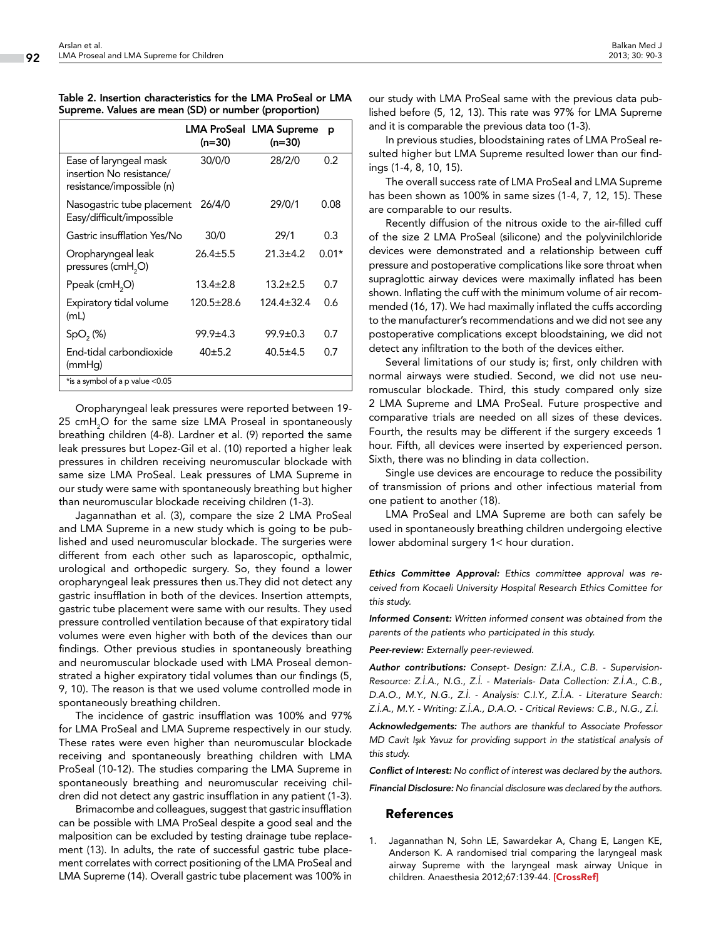| Table 2. Insertion characteristics for the LMA ProSeal or LMA |  |
|---------------------------------------------------------------|--|
| Supreme. Values are mean (SD) or number (proportion)          |  |

|                                                                                 | (n=30)         | <b>LMA ProSeal LMA Supreme</b><br>(n=30) | р       |
|---------------------------------------------------------------------------------|----------------|------------------------------------------|---------|
| Ease of laryngeal mask<br>insertion No resistance/<br>resistance/impossible (n) | 30/0/0         | 28/2/0                                   | 0.2     |
| Nasogastric tube placement<br>Easy/difficult/impossible                         | 26/4/0         | 29/0/1                                   | 0.08    |
| Gastric insufflation Yes/No                                                     | 30/0           | 29/1                                     | 0.3     |
| Oropharyngeal leak<br>pressures (cmH <sub>2</sub> O)                            | $26.4 \pm 5.5$ | $21.3 + 4.2$                             | $0.01*$ |
| Ppeak (cmH <sub>2</sub> O)                                                      | $13.4 + 2.8$   | $13.2 \pm 2.5$                           | 0.7     |
| Expiratory tidal volume<br>(mL)                                                 | 120.5±28.6     | 124.4±32.4                               | 0.6     |
| SpO <sub>2</sub> (%)                                                            | $99.9 \pm 4.3$ | $99.9 \pm 0.3$                           | 0.7     |
| End-tidal carbondioxide<br>(mmHg)                                               | 40±5.2         | $40.5 \pm 4.5$                           | 0.7     |
| *is a symbol of a p value <0.05                                                 |                |                                          |         |

Oropharyngeal leak pressures were reported between 19- 25 cmH $_{2}$ O for the same size LMA Proseal in spontaneously breathing children (4-8). Lardner et al. (9) reported the same leak pressures but Lopez-Gil et al. (10) reported a higher leak pressures in children receiving neuromuscular blockade with same size LMA ProSeal. Leak pressures of LMA Supreme in our study were same with spontaneously breathing but higher than neuromuscular blockade receiving children (1-3).

Jagannathan et al. (3), compare the size 2 LMA ProSeal and LMA Supreme in a new study which is going to be published and used neuromuscular blockade. The surgeries were different from each other such as laparoscopic, opthalmic, urological and orthopedic surgery. So, they found a lower oropharyngeal leak pressures then us.They did not detect any gastric insufflation in both of the devices. Insertion attempts, gastric tube placement were same with our results. They used pressure controlled ventilation because of that expiratory tidal volumes were even higher with both of the devices than our findings. Other previous studies in spontaneously breathing and neuromuscular blockade used with LMA Proseal demonstrated a higher expiratory tidal volumes than our findings (5, 9, 10). The reason is that we used volume controlled mode in spontaneously breathing children.

The incidence of gastric insufflation was 100% and 97% for LMA ProSeal and LMA Supreme respectively in our study. These rates were even higher than neuromuscular blockade receiving and spontaneously breathing children with LMA ProSeal (10-12). The studies comparing the LMA Supreme in spontaneously breathing and neuromuscular receiving children did not detect any gastric insufflation in any patient (1-3).

Brimacombe and colleagues, suggest that gastric insufflation can be possible with LMA ProSeal despite a good seal and the malposition can be excluded by testing drainage tube replacement (13). In adults, the rate of successful gastric tube placement correlates with correct positioning of the LMA ProSeal and LMA Supreme (14). Overall gastric tube placement was 100% in

our study with LMA ProSeal same with the previous data published before (5, 12, 13). This rate was 97% for LMA Supreme and it is comparable the previous data too (1-3).

In previous studies, bloodstaining rates of LMA ProSeal resulted higher but LMA Supreme resulted lower than our findings (1-4, 8, 10, 15).

The overall success rate of LMA ProSeal and LMA Supreme has been shown as 100% in same sizes (1-4, 7, 12, 15). These are comparable to our results.

Recently diffusion of the nitrous oxide to the air-filled cuff of the size 2 LMA ProSeal (silicone) and the polyvinilchloride devices were demonstrated and a relationship between cuff pressure and postoperative complications like sore throat when supraglottic airway devices were maximally inflated has been shown. Inflating the cuff with the minimum volume of air recommended (16, 17). We had maximally inflated the cuffs according to the manufacturer's recommendations and we did not see any postoperative complications except bloodstaining, we did not detect any infiltration to the both of the devices either.

Several limitations of our study is; first, only children with normal airways were studied. Second, we did not use neuromuscular blockade. Third, this study compared only size 2 LMA Supreme and LMA ProSeal. Future prospective and comparative trials are needed on all sizes of these devices. Fourth, the results may be different if the surgery exceeds 1 hour. Fifth, all devices were inserted by experienced person. Sixth, there was no blinding in data collection.

Single use devices are encourage to reduce the possibility of transmission of prions and other infectious material from one patient to another (18).

LMA ProSeal and LMA Supreme are both can safely be used in spontaneously breathing children undergoing elective lower abdominal surgery 1< hour duration.

*Ethics Committee Approval: Ethics committee approval was received from Kocaeli University Hospital Research Ethics Comittee for this study.*

*Informed Consent: Written informed consent was obtained from the parents of the patients who participated in this study.*

*Peer-review: Externally peer-reviewed.*

*Author contributions: Consept- Design: Z.İ.A., C.B. - Supervision-Resource: Z.İ.A., N.G., Z.İ. - Materials- Data Collection: Z.İ.A., C.B., D.A.O., M.Y., N.G., Z.İ. - Analysis: C.I.Y., Z.İ.A. - Literature Search: Z.İ.A., M.Y. - Writing: Z.İ.A., D.A.O. - Critical Reviews: C.B., N.G., Z.İ.*

*Acknowledgements: The authors are thankful to Associate Professor MD Cavit Işık Yavuz for providing support in the statistical analysis of this study.*

*Conflict of Interest: No conflict of interest was declared by the authors.* 

*Financial Disclosure: No financial disclosure was declared by the authors.*

## References

1. Jagannathan N, Sohn LE, Sawardekar A, Chang E, Langen KE, Anderson K. A randomised trial comparing the laryngeal mask airway Supreme with the laryngeal mask airway Unique in children. Anaesthesia 2012;67:139-44. [\[CrossRef\]](http://dx.doi.org/10.1111/j.1365-2044.2011.06960.x)